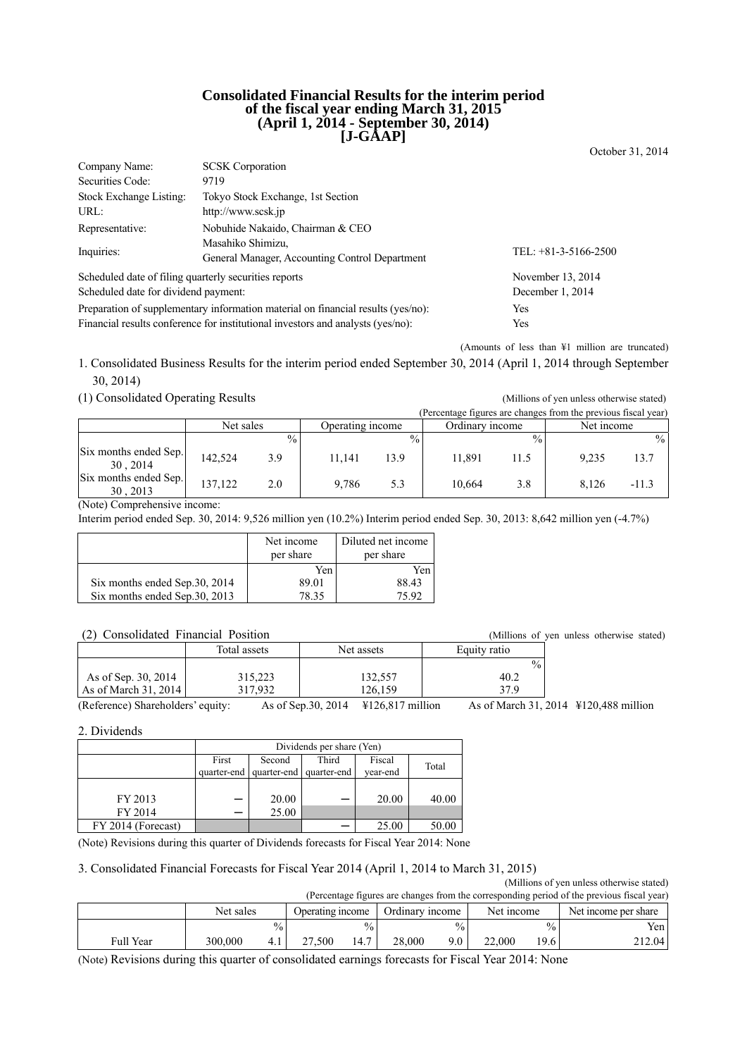#### **Consolidated Financial Results for the interim period of the fiscal year ending March 31, 2015 (April 1, 2014 - September 30, 2014) [J-GAAP]**

October 31, 2014

| Company Name:                                                                    | <b>SCSK</b> Corporation                                                         |                      |  |
|----------------------------------------------------------------------------------|---------------------------------------------------------------------------------|----------------------|--|
| Securities Code:                                                                 | 9719                                                                            |                      |  |
| Stock Exchange Listing:                                                          | Tokyo Stock Exchange, 1st Section                                               |                      |  |
| URL:                                                                             | http://www.scsk.jp                                                              |                      |  |
| Representative:                                                                  | Nobuhide Nakaido, Chairman & CEO                                                |                      |  |
|                                                                                  | Masahiko Shimizu,                                                               |                      |  |
| Inquiries:                                                                       | General Manager, Accounting Control Department                                  | TEL: +81-3-5166-2500 |  |
| Scheduled date of filing quarterly securities reports                            |                                                                                 | November 13, 2014    |  |
| Scheduled date for dividend payment:                                             | December 1, 2014                                                                |                      |  |
| Preparation of supplementary information material on financial results (yes/no): | Yes                                                                             |                      |  |
|                                                                                  | Financial results conference for institutional investors and analysts (yes/no): | Yes                  |  |

(Amounts of less than ¥1 million are truncated)

1. Consolidated Business Results for the interim period ended September 30, 2014 (April 1, 2014 through September 30, 2014)

#### (1) Consolidated Operating Results (Millions of yen unless otherwise stated)

|                                   |           |               |                  |               | (Percentage figures are changes from the previous fiscal year) |               |            |         |
|-----------------------------------|-----------|---------------|------------------|---------------|----------------------------------------------------------------|---------------|------------|---------|
|                                   | Net sales |               | Operating income |               | Ordinary income                                                |               | Net income |         |
|                                   |           | $\frac{0}{0}$ |                  | $\frac{0}{0}$ |                                                                | $\frac{0}{0}$ |            | $\%$    |
| Six months ended Sep.<br>30, 2014 | 142.524   | 3.9           | 11,141           | 13.9          | 11.891                                                         | 11.5          | 9.235      | 13.7    |
| Six months ended Sep.<br>30, 2013 | 137.122   | 2.0           | 9.786            | 5.3           | 10.664                                                         | 3.8           | 8.126      | $-11.3$ |

(Note) Comprehensive income:

Interim period ended Sep. 30, 2014: 9,526 million yen (10.2%) Interim period ended Sep. 30, 2013: 8,642 million yen (-4.7%)

|                                | Net income<br>per share | Diluted net income<br>per share |
|--------------------------------|-------------------------|---------------------------------|
|                                | Yen                     | Yen                             |
| Six months ended Sep. 30, 2014 | 89.01                   | 88.43                           |
| Six months ended Sep.30, 2013  | 78 35                   | 75.92                           |

#### (2) Consolidated Financial Position (Millions of yen unless otherwise stated)

|                                   | Total assets | Net assets                                                   | Equity ratio  |                                       |
|-----------------------------------|--------------|--------------------------------------------------------------|---------------|---------------------------------------|
|                                   |              |                                                              | $\frac{0}{0}$ |                                       |
| As of Sep. 30, 2014               | 315,223      | 132,557                                                      | 40.2          |                                       |
| As of March 31, 2014              | 317.932      | 126.159                                                      | 379           |                                       |
| (Reference) Shareholders' equity: |              | As of Sep. 30, 2014<br>$\text{\textsterling}126.817$ million |               | As of March 31, 2014 ¥120,488 million |

2. Dividends

|                    | Dividends per share (Yen) |                                     |       |          |       |  |
|--------------------|---------------------------|-------------------------------------|-------|----------|-------|--|
|                    | First                     | Second                              | Third | Fiscal   | Total |  |
|                    |                           | quarter-end quarter-end quarter-end |       | vear-end |       |  |
|                    |                           |                                     |       |          |       |  |
| FY 2013            |                           | 20.00                               |       | 20.00    | 40.00 |  |
| FY 2014            |                           | 25.00                               |       |          |       |  |
| FY 2014 (Forecast) |                           |                                     |       | 25.00    | 50.00 |  |

(Note) Revisions during this quarter of Dividends forecasts for Fiscal Year 2014: None

#### 3. Consolidated Financial Forecasts for Fiscal Year 2014 (April 1, 2014 to March 31, 2015)

(Millions of yen unless otherwise stated)

| (Percentage figures are changes from the corresponding period of the previous fiscal year) |           |               |                  |      |                      |               |        |                   |        |
|--------------------------------------------------------------------------------------------|-----------|---------------|------------------|------|----------------------|---------------|--------|-------------------|--------|
|                                                                                            | Net sales |               | Operating income |      | Net income per share |               |        |                   |        |
|                                                                                            |           | $\frac{0}{0}$ |                  |      |                      | $\frac{0}{0}$ |        | $^{0/0}$ .        | Yen l  |
| Full Year                                                                                  | 300,000   | 4.            | 27.500           | 14.7 | 28,000               | 9.0           | 22,000 | 19.6 <sub>1</sub> | 212.04 |

(Note) Revisions during this quarter of consolidated earnings forecasts for Fiscal Year 2014: None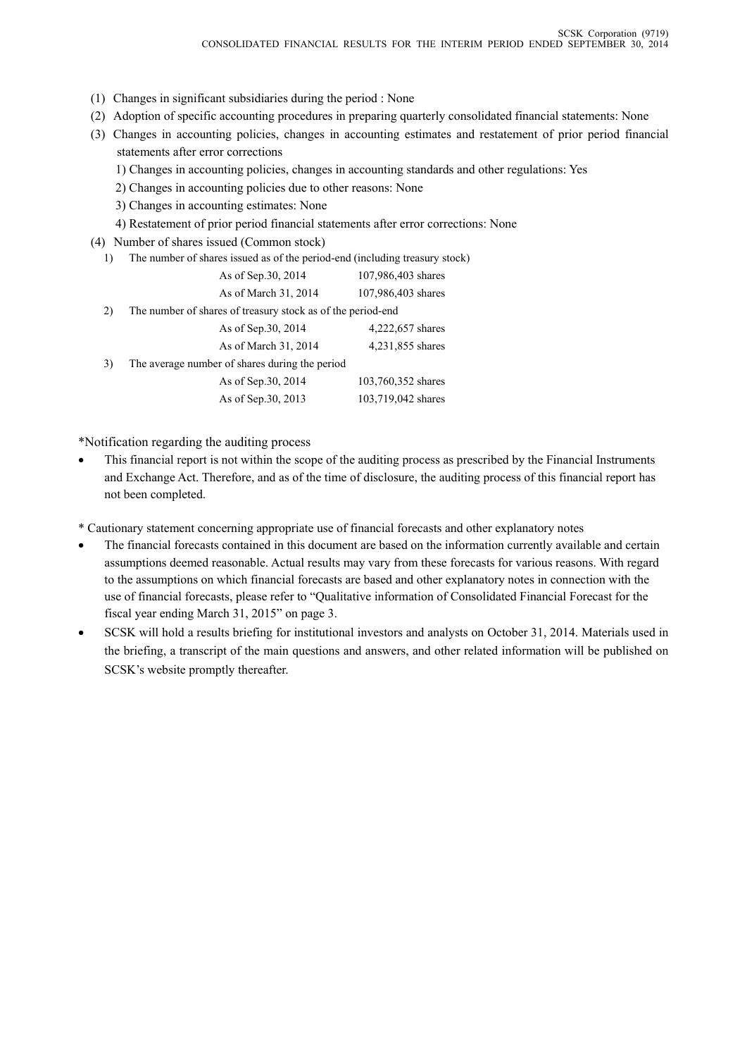- (1) Changes in significant subsidiaries during the period : None
- (2) Adoption of specific accounting procedures in preparing quarterly consolidated financial statements: None
- (3) Changes in accounting policies, changes in accounting estimates and restatement of prior period financial statements after error corrections
	- 1) Changes in accounting policies, changes in accounting standards and other regulations: Yes
	- 2) Changes in accounting policies due to other reasons: None
	- 3) Changes in accounting estimates: None
	- 4) Restatement of prior period financial statements after error corrections: None
- (4) Number of shares issued (Common stock)
	- 1) The number of shares issued as of the period-end (including treasury stock)

|    | As of Sep. 30, 2014                                         | 107,986,403 shares |
|----|-------------------------------------------------------------|--------------------|
|    | As of March 31, 2014                                        | 107,986,403 shares |
| 2) | The number of shares of treasury stock as of the period-end |                    |
|    | As of Sep. 30, 2014                                         | 4,222,657 shares   |
|    | As of March 31, 2014                                        | 4,231,855 shares   |
| 3) | The average number of shares during the period              |                    |
|    | As of Sep. 30, 2014                                         | 103,760,352 shares |
|    | As of Sep. 30, 2013                                         | 103,719,042 shares |
|    |                                                             |                    |

\*Notification regarding the auditing process

 This financial report is not within the scope of the auditing process as prescribed by the Financial Instruments and Exchange Act. Therefore, and as of the time of disclosure, the auditing process of this financial report has not been completed.

\* Cautionary statement concerning appropriate use of financial forecasts and other explanatory notes

- The financial forecasts contained in this document are based on the information currently available and certain assumptions deemed reasonable. Actual results may vary from these forecasts for various reasons. With regard to the assumptions on which financial forecasts are based and other explanatory notes in connection with the use of financial forecasts, please refer to "Qualitative information of Consolidated Financial Forecast for the fiscal year ending March 31, 2015" on page 3.
- SCSK will hold a results briefing for institutional investors and analysts on October 31, 2014. Materials used in the briefing, a transcript of the main questions and answers, and other related information will be published on SCSK's website promptly thereafter.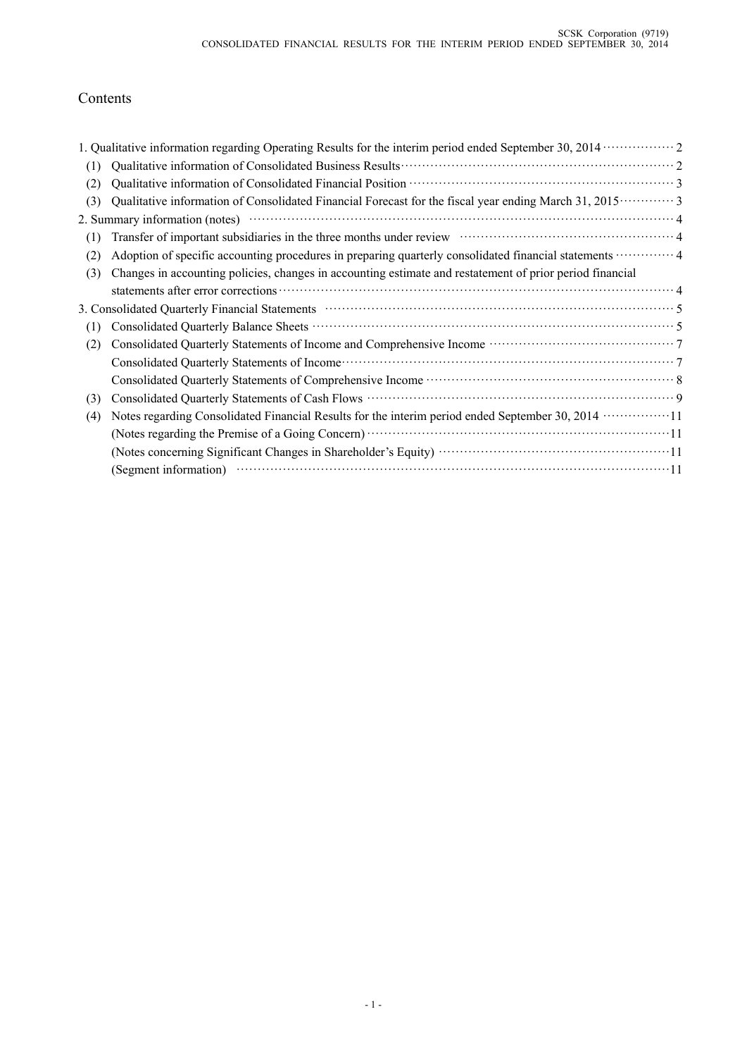# Contents

|     | 1. Qualitative information regarding Operating Results for the interim period ended September 30, 2014 ················ 2                                                                                                                                                                                                      |  |
|-----|--------------------------------------------------------------------------------------------------------------------------------------------------------------------------------------------------------------------------------------------------------------------------------------------------------------------------------|--|
| (1) |                                                                                                                                                                                                                                                                                                                                |  |
| (2) |                                                                                                                                                                                                                                                                                                                                |  |
| (3) | Qualitative information of Consolidated Financial Forecast for the fiscal year ending March 31, 2015 ············· 3                                                                                                                                                                                                           |  |
|     |                                                                                                                                                                                                                                                                                                                                |  |
| (1) | Transfer of important subsidiaries in the three months under review material contact and a 4                                                                                                                                                                                                                                   |  |
| (2) | Adoption of specific accounting procedures in preparing quarterly consolidated financial statements  4                                                                                                                                                                                                                         |  |
| (3) | Changes in accounting policies, changes in accounting estimate and restatement of prior period financial                                                                                                                                                                                                                       |  |
|     |                                                                                                                                                                                                                                                                                                                                |  |
|     | 3. Consolidated Quarterly Financial Statements manufactured control of the Statements of Statements and Statements of Statements and Statements of Statements and Statements of Statements and Statements and Statements and S                                                                                                 |  |
| (1) |                                                                                                                                                                                                                                                                                                                                |  |
| (2) |                                                                                                                                                                                                                                                                                                                                |  |
|     |                                                                                                                                                                                                                                                                                                                                |  |
|     |                                                                                                                                                                                                                                                                                                                                |  |
| (3) | Consolidated Quarterly Statements of Cash Flows manufactured consolidated Quarterly Statements of Cash Flows manufactured and the statements of Cash Flows manufactured and statements of Cash Flows manufactured and statemen                                                                                                 |  |
| (4) | Notes regarding Consolidated Financial Results for the interim period ended September 30, 2014 ·················11                                                                                                                                                                                                             |  |
|     | (Notes regarding the Premise of a Going Concern) manufactured and the Premise of a Going Concern) manufactured and a state of a Going Concern manufactured and a state of a Going Concern manufactured and a state of $11$                                                                                                     |  |
|     |                                                                                                                                                                                                                                                                                                                                |  |
|     | (Segment information) $\cdots$ $\cdots$ $\cdots$ $\cdots$ $\cdots$ $\cdots$ $\cdots$ $\cdots$ $\cdots$ $\cdots$ $\cdots$ $\cdots$ $\cdots$ $\cdots$ $\cdots$ $\cdots$ $\cdots$ $\cdots$ $\cdots$ $\cdots$ $\cdots$ $\cdots$ $\cdots$ $\cdots$ $\cdots$ $\cdots$ $\cdots$ $\cdots$ $\cdots$ $\cdots$ $\cdots$ $\cdots$ $\cdots$ |  |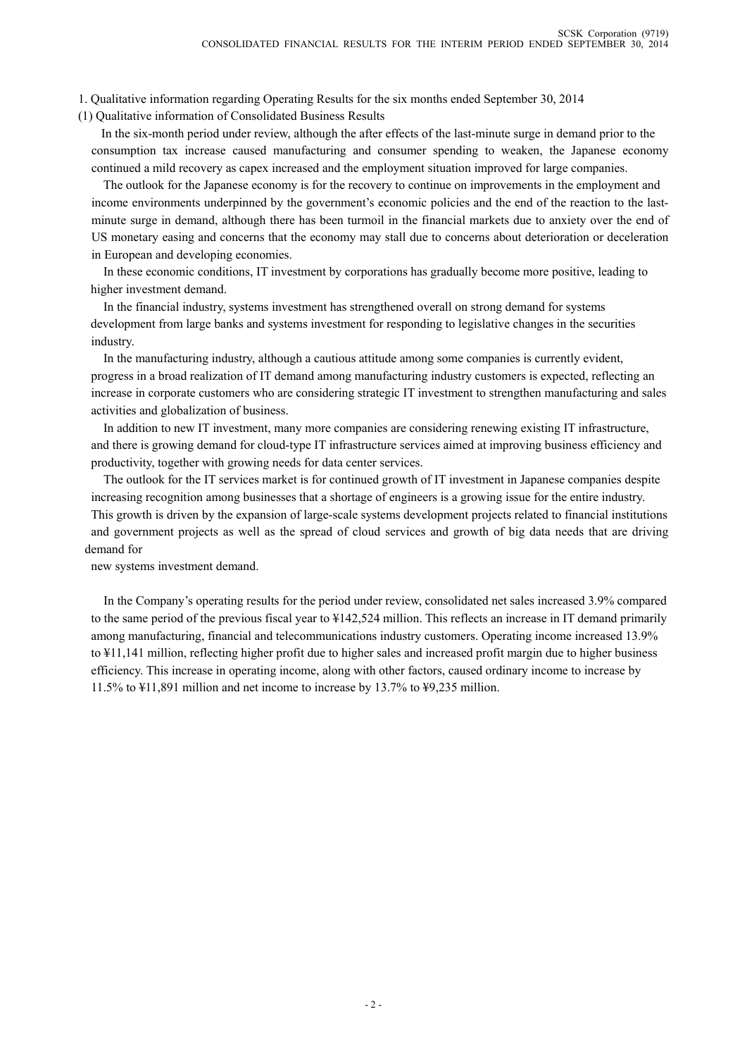1. Qualitative information regarding Operating Results for the six months ended September 30, 2014

(1) Qualitative information of Consolidated Business Results

In the six-month period under review, although the after effects of the last-minute surge in demand prior to the consumption tax increase caused manufacturing and consumer spending to weaken, the Japanese economy continued a mild recovery as capex increased and the employment situation improved for large companies.

 The outlook for the Japanese economy is for the recovery to continue on improvements in the employment and income environments underpinned by the government's economic policies and the end of the reaction to the lastminute surge in demand, although there has been turmoil in the financial markets due to anxiety over the end of US monetary easing and concerns that the economy may stall due to concerns about deterioration or deceleration in European and developing economies.

 In these economic conditions, IT investment by corporations has gradually become more positive, leading to higher investment demand.

 In the financial industry, systems investment has strengthened overall on strong demand for systems development from large banks and systems investment for responding to legislative changes in the securities industry.

 In the manufacturing industry, although a cautious attitude among some companies is currently evident, progress in a broad realization of IT demand among manufacturing industry customers is expected, reflecting an increase in corporate customers who are considering strategic IT investment to strengthen manufacturing and sales activities and globalization of business.

 In addition to new IT investment, many more companies are considering renewing existing IT infrastructure, and there is growing demand for cloud-type IT infrastructure services aimed at improving business efficiency and productivity, together with growing needs for data center services.

 The outlook for the IT services market is for continued growth of IT investment in Japanese companies despite increasing recognition among businesses that a shortage of engineers is a growing issue for the entire industry.

This growth is driven by the expansion of large-scale systems development projects related to financial institutions and government projects as well as the spread of cloud services and growth of big data needs that are driving demand for

new systems investment demand.

 In the Company's operating results for the period under review, consolidated net sales increased 3.9% compared to the same period of the previous fiscal year to ¥142,524 million. This reflects an increase in IT demand primarily among manufacturing, financial and telecommunications industry customers. Operating income increased 13.9% to ¥11,141 million, reflecting higher profit due to higher sales and increased profit margin due to higher business efficiency. This increase in operating income, along with other factors, caused ordinary income to increase by 11.5% to ¥11,891 million and net income to increase by 13.7% to ¥9,235 million.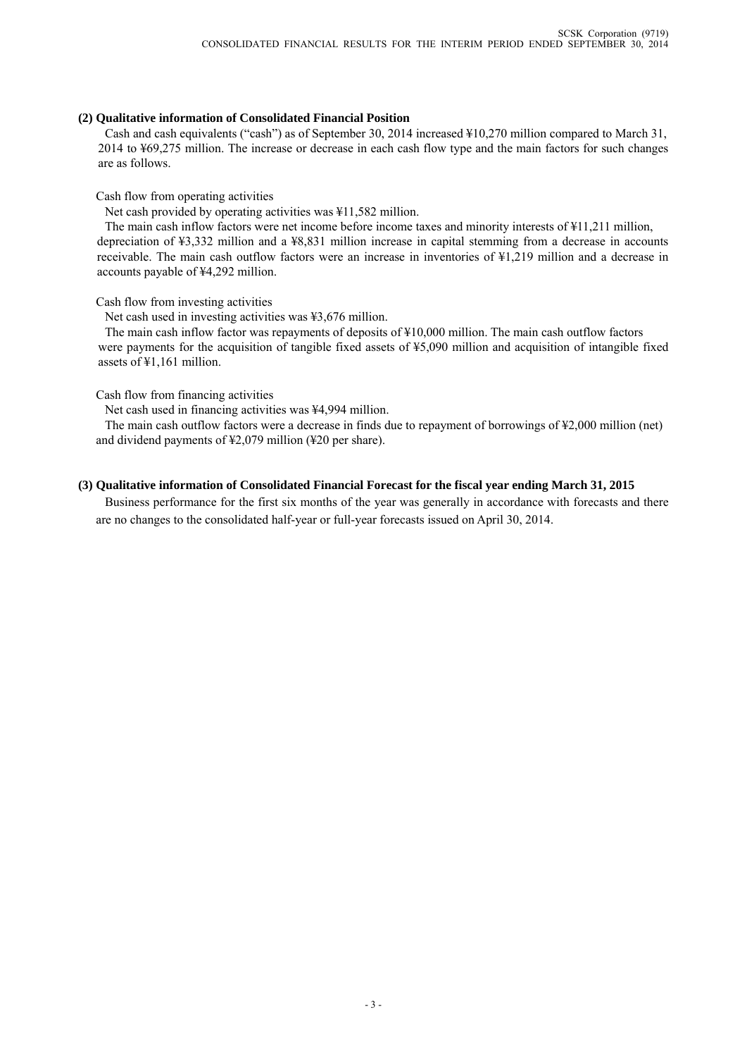### **(2) Qualitative information of Consolidated Financial Position**

Cash and cash equivalents ("cash") as of September 30, 2014 increased ¥10,270 million compared to March 31, 2014 to ¥69,275 million. The increase or decrease in each cash flow type and the main factors for such changes are as follows.

Cash flow from operating activities

Net cash provided by operating activities was ¥11,582 million.

The main cash inflow factors were net income before income taxes and minority interests of ¥11,211 million, depreciation of ¥3,332 million and a ¥8,831 million increase in capital stemming from a decrease in accounts receivable. The main cash outflow factors were an increase in inventories of ¥1,219 million and a decrease in accounts payable of ¥4,292 million.

Cash flow from investing activities

Net cash used in investing activities was ¥3,676 million.

The main cash inflow factor was repayments of deposits of ¥10,000 million. The main cash outflow factors were payments for the acquisition of tangible fixed assets of ¥5,090 million and acquisition of intangible fixed assets of ¥1,161 million.

Cash flow from financing activities

Net cash used in financing activities was ¥4,994 million.

The main cash outflow factors were a decrease in finds due to repayment of borrowings of ¥2,000 million (net) and dividend payments of ¥2,079 million (¥20 per share).

### **(3) Qualitative information of Consolidated Financial Forecast for the fiscal year ending March 31, 2015**

Business performance for the first six months of the year was generally in accordance with forecasts and there are no changes to the consolidated half-year or full-year forecasts issued on April 30, 2014.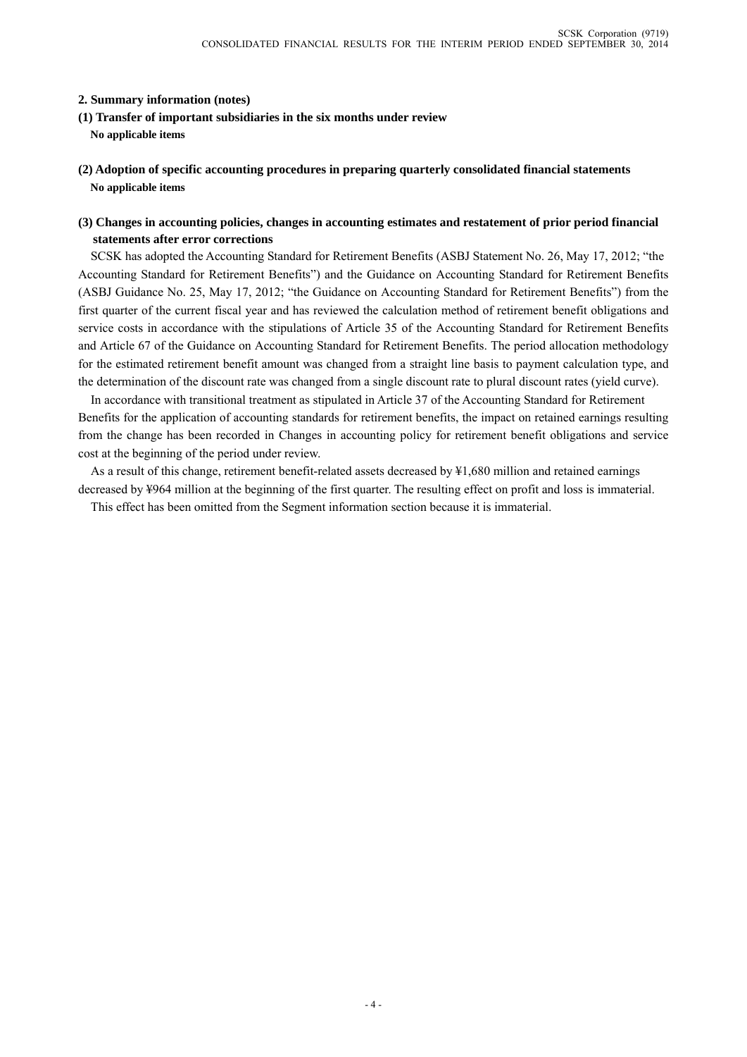### **2. Summary information (notes)**

- **(1) Transfer of important subsidiaries in the six months under review No applicable items**
- **(2) Adoption of specific accounting procedures in preparing quarterly consolidated financial statements No applicable items**

### **(3) Changes in accounting policies, changes in accounting estimates and restatement of prior period financial statements after error corrections**

SCSK has adopted the Accounting Standard for Retirement Benefits (ASBJ Statement No. 26, May 17, 2012; "the Accounting Standard for Retirement Benefits") and the Guidance on Accounting Standard for Retirement Benefits (ASBJ Guidance No. 25, May 17, 2012; "the Guidance on Accounting Standard for Retirement Benefits") from the first quarter of the current fiscal year and has reviewed the calculation method of retirement benefit obligations and service costs in accordance with the stipulations of Article 35 of the Accounting Standard for Retirement Benefits and Article 67 of the Guidance on Accounting Standard for Retirement Benefits. The period allocation methodology for the estimated retirement benefit amount was changed from a straight line basis to payment calculation type, and the determination of the discount rate was changed from a single discount rate to plural discount rates (yield curve).

In accordance with transitional treatment as stipulated in Article 37 of the Accounting Standard for Retirement Benefits for the application of accounting standards for retirement benefits, the impact on retained earnings resulting from the change has been recorded in Changes in accounting policy for retirement benefit obligations and service cost at the beginning of the period under review.

As a result of this change, retirement benefit-related assets decreased by ¥1,680 million and retained earnings decreased by ¥964 million at the beginning of the first quarter. The resulting effect on profit and loss is immaterial.

This effect has been omitted from the Segment information section because it is immaterial.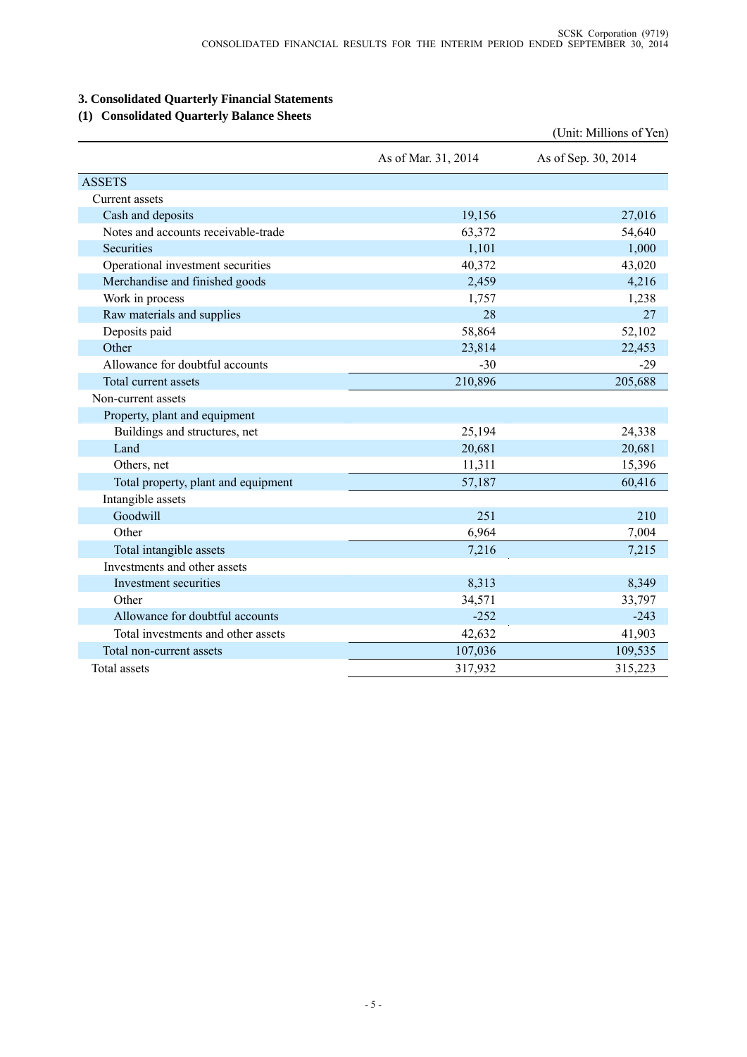# **3. Consolidated Quarterly Financial Statements**

## **(1) Consolidated Quarterly Balance Sheets**

|                                     |                     | (Unit: Millions of Yen) |
|-------------------------------------|---------------------|-------------------------|
|                                     | As of Mar. 31, 2014 | As of Sep. 30, 2014     |
| <b>ASSETS</b>                       |                     |                         |
| Current assets                      |                     |                         |
| Cash and deposits                   | 19,156              | 27,016                  |
| Notes and accounts receivable-trade | 63,372              | 54,640                  |
| Securities                          | 1,101               | 1,000                   |
| Operational investment securities   | 40,372              | 43,020                  |
| Merchandise and finished goods      | 2,459               | 4,216                   |
| Work in process                     | 1,757               | 1,238                   |
| Raw materials and supplies          | 28                  | 27                      |
| Deposits paid                       | 58,864              | 52,102                  |
| Other                               | 23,814              | 22,453                  |
| Allowance for doubtful accounts     | $-30$               | $-29$                   |
| Total current assets                | 210,896             | 205,688                 |
| Non-current assets                  |                     |                         |
| Property, plant and equipment       |                     |                         |
| Buildings and structures, net       | 25,194              | 24,338                  |
| Land                                | 20,681              | 20,681                  |
| Others, net                         | 11,311              | 15,396                  |
| Total property, plant and equipment | 57,187              | 60,416                  |
| Intangible assets                   |                     |                         |
| Goodwill                            | 251                 | 210                     |
| Other                               | 6,964               | 7,004                   |
| Total intangible assets             | 7,216               | 7,215                   |
| Investments and other assets        |                     |                         |
| Investment securities               | 8,313               | 8,349                   |
| Other                               | 34,571              | 33,797                  |
| Allowance for doubtful accounts     | $-252$              | $-243$                  |
| Total investments and other assets  | 42,632              | 41,903                  |
| Total non-current assets            | 107,036             | 109,535                 |
| Total assets                        | 317,932             | 315,223                 |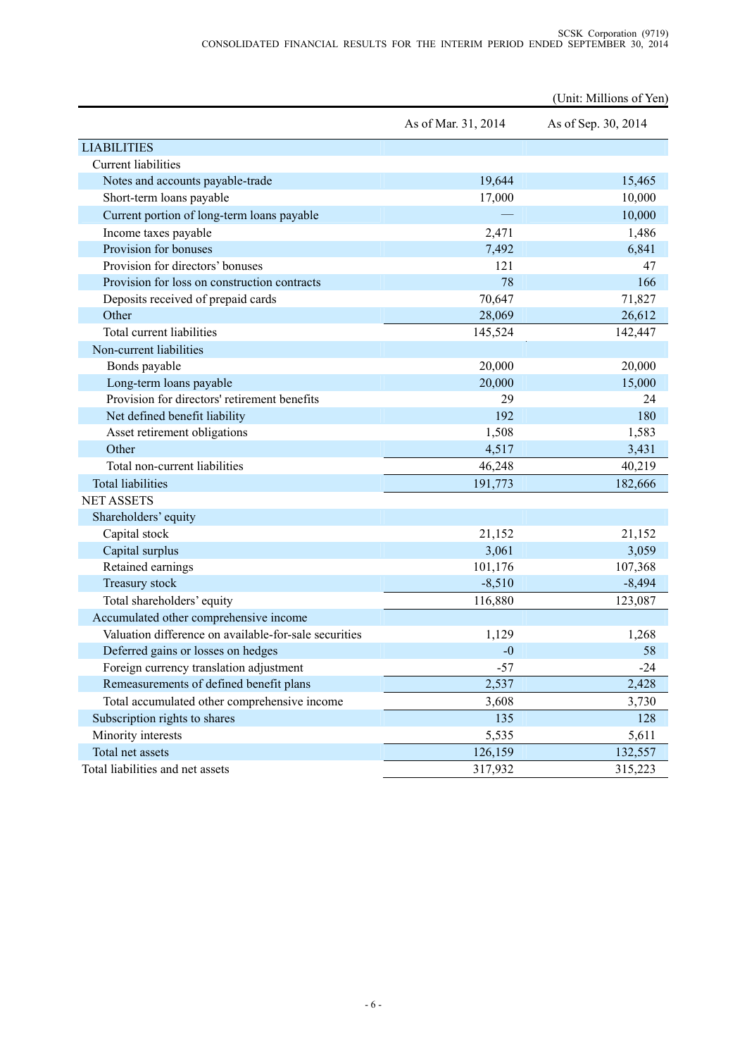|                                                       |                     | (Unit: Millions of Yen) |
|-------------------------------------------------------|---------------------|-------------------------|
|                                                       | As of Mar. 31, 2014 | As of Sep. 30, 2014     |
| <b>LIABILITIES</b>                                    |                     |                         |
| <b>Current liabilities</b>                            |                     |                         |
| Notes and accounts payable-trade                      | 19,644              | 15,465                  |
| Short-term loans payable                              | 17,000              | 10,000                  |
| Current portion of long-term loans payable            |                     | 10,000                  |
| Income taxes payable                                  | 2,471               | 1,486                   |
| Provision for bonuses                                 | 7,492               | 6,841                   |
| Provision for directors' bonuses                      | 121                 | 47                      |
| Provision for loss on construction contracts          | 78                  | 166                     |
| Deposits received of prepaid cards                    | 70,647              | 71,827                  |
| Other                                                 | 28,069              | 26,612                  |
| Total current liabilities                             | 145,524             | 142,447                 |
| Non-current liabilities                               |                     |                         |
| Bonds payable                                         | 20,000              | 20,000                  |
| Long-term loans payable                               | 20,000              | 15,000                  |
| Provision for directors' retirement benefits          | 29                  | 24                      |
| Net defined benefit liability                         | 192                 | 180                     |
| Asset retirement obligations                          | 1,508               | 1,583                   |
| Other                                                 | 4,517               | 3,431                   |
| Total non-current liabilities                         | 46,248              | 40,219                  |
| <b>Total liabilities</b>                              | 191,773             | 182,666                 |
| <b>NET ASSETS</b>                                     |                     |                         |
| Shareholders' equity                                  |                     |                         |
| Capital stock                                         | 21,152              | 21,152                  |
| Capital surplus                                       | 3,061               | 3,059                   |
| Retained earnings                                     | 101,176             | 107,368                 |
| Treasury stock                                        | $-8,510$            | $-8,494$                |
| Total shareholders' equity                            | 116,880             | 123,087                 |
| Accumulated other comprehensive income                |                     |                         |
| Valuation difference on available-for-sale securities | 1,129               | 1,268                   |
| Deferred gains or losses on hedges                    | $-0$                | 58                      |
| Foreign currency translation adjustment               | $-57$               | $-24$                   |
| Remeasurements of defined benefit plans               | 2,537               | 2,428                   |
| Total accumulated other comprehensive income          | 3,608               | 3,730                   |
| Subscription rights to shares                         | 135                 | 128                     |
| Minority interests                                    | 5,535               | 5,611                   |
| Total net assets                                      | 126,159             | 132,557                 |
| Total liabilities and net assets                      | 317,932             | 315,223                 |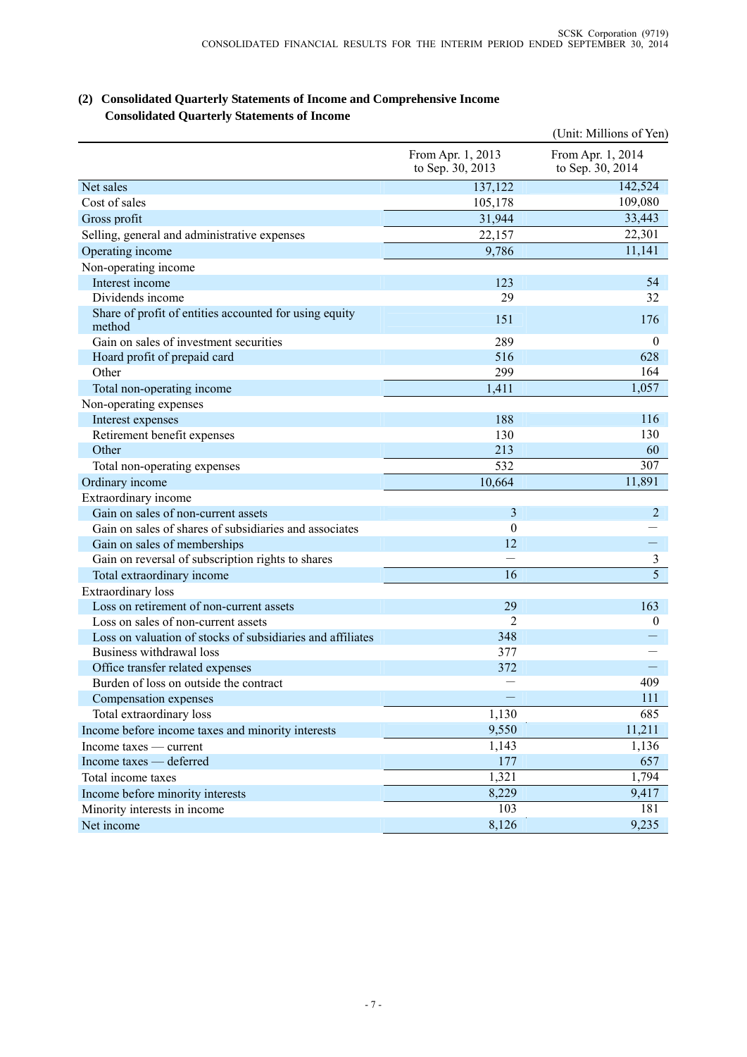### **(2) Consolidated Quarterly Statements of Income and Comprehensive Income Consolidated Quarterly Statements of Income**

|                                                                  |                                       | (Unit: Millions of Yen)               |
|------------------------------------------------------------------|---------------------------------------|---------------------------------------|
|                                                                  | From Apr. 1, 2013<br>to Sep. 30, 2013 | From Apr. 1, 2014<br>to Sep. 30, 2014 |
| Net sales                                                        | 137,122                               | 142,524                               |
| Cost of sales                                                    | 105,178                               | 109,080                               |
| Gross profit                                                     | 31,944                                | 33,443                                |
| Selling, general and administrative expenses                     | 22,157                                | 22,301                                |
| Operating income                                                 | 9,786                                 | 11,141                                |
| Non-operating income                                             |                                       |                                       |
| Interest income                                                  | 123                                   | 54                                    |
| Dividends income                                                 | 29                                    | 32                                    |
| Share of profit of entities accounted for using equity<br>method | 151                                   | 176                                   |
| Gain on sales of investment securities                           | 289                                   | $\mathbf{0}$                          |
| Hoard profit of prepaid card                                     | 516                                   | 628                                   |
| Other                                                            | 299                                   | 164                                   |
| Total non-operating income                                       | 1,411                                 | 1,057                                 |
| Non-operating expenses                                           |                                       |                                       |
| Interest expenses                                                | 188                                   | 116                                   |
| Retirement benefit expenses                                      | 130                                   | 130                                   |
| Other                                                            | 213                                   | 60                                    |
| Total non-operating expenses                                     | 532                                   | 307                                   |
| Ordinary income                                                  | 10,664                                | 11,891                                |
| Extraordinary income                                             |                                       |                                       |
| Gain on sales of non-current assets                              | 3                                     | 2                                     |
| Gain on sales of shares of subsidiaries and associates           | $\theta$                              |                                       |
| Gain on sales of memberships                                     | 12                                    |                                       |
| Gain on reversal of subscription rights to shares                |                                       | 3                                     |
| Total extraordinary income                                       | 16                                    | 5                                     |
| <b>Extraordinary</b> loss                                        |                                       |                                       |
| Loss on retirement of non-current assets                         | 29                                    | 163                                   |
| Loss on sales of non-current assets                              | 2                                     | $\boldsymbol{0}$                      |
| Loss on valuation of stocks of subsidiaries and affiliates       | 348                                   |                                       |
| Business withdrawal loss                                         | 377                                   |                                       |
| Office transfer related expenses                                 | 372                                   |                                       |
| Burden of loss on outside the contract                           |                                       | 409                                   |
| Compensation expenses                                            |                                       | 111                                   |
| Total extraordinary loss                                         | 1,130                                 | 685                                   |
| Income before income taxes and minority interests                | 9,550                                 | 11,211                                |
| Income taxes — current                                           | 1,143                                 | 1,136                                 |
| Income taxes — deferred                                          | 177                                   | 657                                   |
| Total income taxes                                               | 1,321                                 | 1,794                                 |
| Income before minority interests                                 | 8,229                                 | 9,417                                 |
| Minority interests in income                                     | 103                                   | 181                                   |
| Net income                                                       | 8,126                                 | 9,235                                 |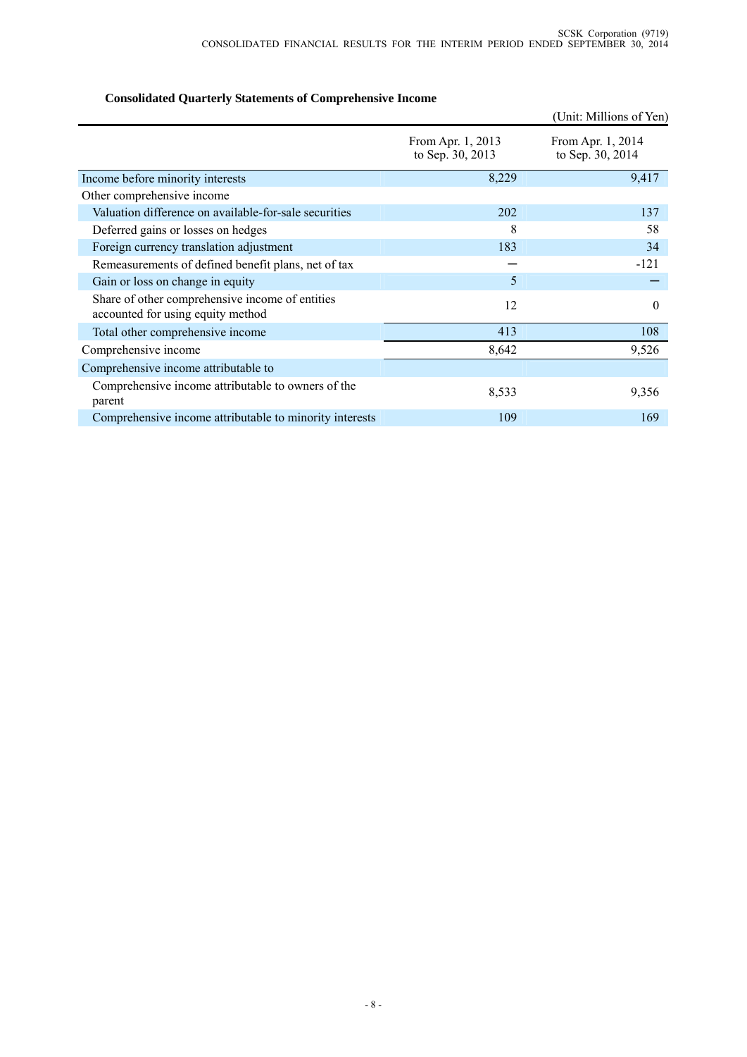# **Consolidated Quarterly Statements of Comprehensive Income**

|                                                                                      |                                       | (Unit: Millions of Yen)               |
|--------------------------------------------------------------------------------------|---------------------------------------|---------------------------------------|
|                                                                                      | From Apr. 1, 2013<br>to Sep. 30, 2013 | From Apr. 1, 2014<br>to Sep. 30, 2014 |
| Income before minority interests                                                     | 8,229                                 | 9,417                                 |
| Other comprehensive income                                                           |                                       |                                       |
| Valuation difference on available-for-sale securities                                | 202                                   | 137                                   |
| Deferred gains or losses on hedges                                                   | 8                                     | 58                                    |
| Foreign currency translation adjustment                                              | 183                                   | 34                                    |
| Remeasurements of defined benefit plans, net of tax                                  |                                       | $-121$                                |
| Gain or loss on change in equity                                                     | 5                                     |                                       |
| Share of other comprehensive income of entities<br>accounted for using equity method | 12                                    | $\theta$                              |
| Total other comprehensive income                                                     | 413                                   | 108                                   |
| Comprehensive income                                                                 | 8,642                                 | 9,526                                 |
| Comprehensive income attributable to                                                 |                                       |                                       |
| Comprehensive income attributable to owners of the<br>parent                         | 8,533                                 | 9,356                                 |
| Comprehensive income attributable to minority interests                              | 109                                   | 169                                   |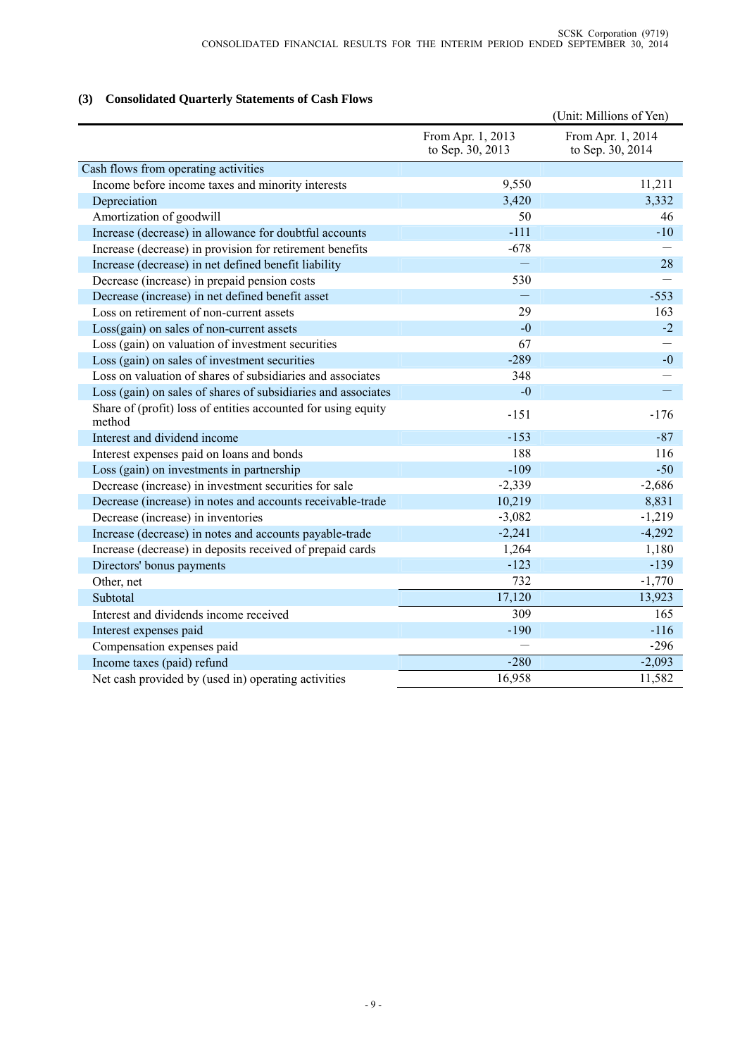# **(3) Consolidated Quarterly Statements of Cash Flows**

|                                                                         |                                       | (Unit: Millions of Yen)               |
|-------------------------------------------------------------------------|---------------------------------------|---------------------------------------|
|                                                                         | From Apr. 1, 2013<br>to Sep. 30, 2013 | From Apr. 1, 2014<br>to Sep. 30, 2014 |
| Cash flows from operating activities                                    |                                       |                                       |
| Income before income taxes and minority interests                       | 9,550                                 | 11,211                                |
| Depreciation                                                            | 3,420                                 | 3,332                                 |
| Amortization of goodwill                                                | 50                                    | 46                                    |
| Increase (decrease) in allowance for doubtful accounts                  | $-111$                                | $-10$                                 |
| Increase (decrease) in provision for retirement benefits                | $-678$                                |                                       |
| Increase (decrease) in net defined benefit liability                    |                                       | 28                                    |
| Decrease (increase) in prepaid pension costs                            | 530                                   |                                       |
| Decrease (increase) in net defined benefit asset                        |                                       | $-553$                                |
| Loss on retirement of non-current assets                                | 29                                    | 163                                   |
| Loss(gain) on sales of non-current assets                               | $-0$                                  | $-2$                                  |
| Loss (gain) on valuation of investment securities                       | 67                                    |                                       |
| Loss (gain) on sales of investment securities                           | $-289$                                | $-0$                                  |
| Loss on valuation of shares of subsidiaries and associates              | 348                                   |                                       |
| Loss (gain) on sales of shares of subsidiaries and associates           | $-0$                                  |                                       |
| Share of (profit) loss of entities accounted for using equity<br>method | $-151$                                | $-176$                                |
| Interest and dividend income                                            | $-153$                                | $-87$                                 |
| Interest expenses paid on loans and bonds                               | 188                                   | 116                                   |
| Loss (gain) on investments in partnership                               | $-109$                                | $-50$                                 |
| Decrease (increase) in investment securities for sale                   | $-2,339$                              | $-2,686$                              |
| Decrease (increase) in notes and accounts receivable-trade              | 10,219                                | 8,831                                 |
| Decrease (increase) in inventories                                      | $-3,082$                              | $-1,219$                              |
| Increase (decrease) in notes and accounts payable-trade                 | $-2,241$                              | $-4,292$                              |
| Increase (decrease) in deposits received of prepaid cards               | 1,264                                 | 1,180                                 |
| Directors' bonus payments                                               | $-123$                                | $-139$                                |
| Other, net                                                              | 732                                   | $-1,770$                              |
| Subtotal                                                                | 17,120                                | 13,923                                |
| Interest and dividends income received                                  | 309                                   | 165                                   |
| Interest expenses paid                                                  | $-190$                                | $-116$                                |
| Compensation expenses paid                                              |                                       | $-296$                                |
| Income taxes (paid) refund                                              | $-280$                                | $-2,093$                              |
| Net cash provided by (used in) operating activities                     | 16,958                                | 11,582                                |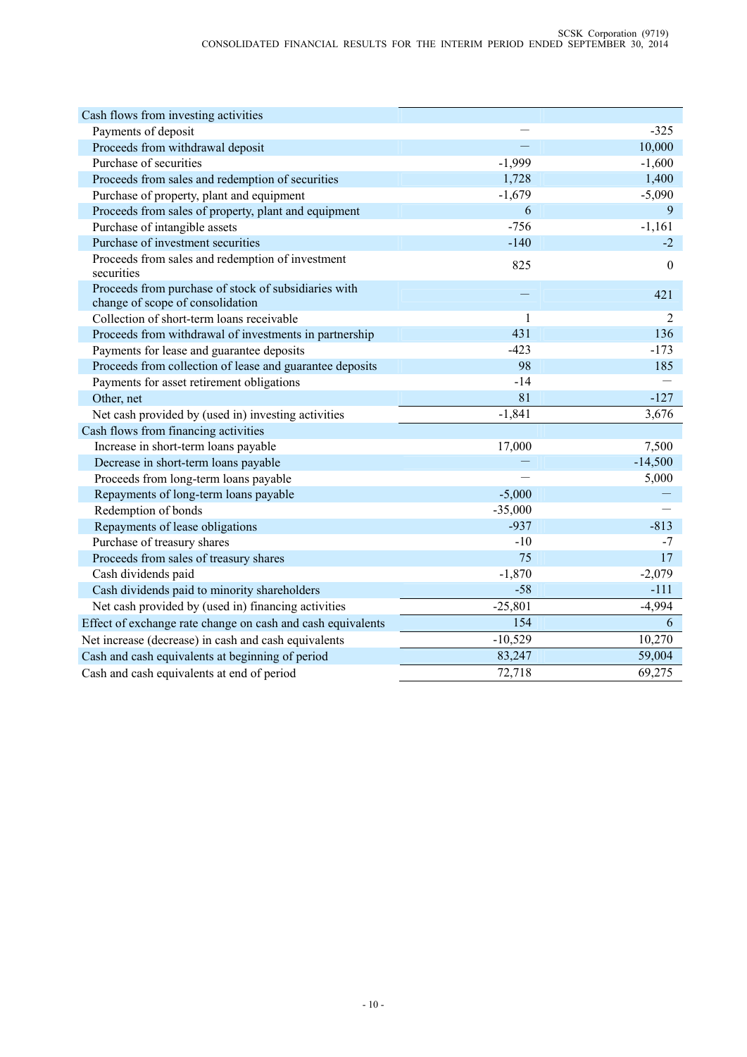| Cash flows from investing activities                                                     |           |                |
|------------------------------------------------------------------------------------------|-----------|----------------|
| Payments of deposit                                                                      |           | $-325$         |
| Proceeds from withdrawal deposit                                                         | $\equiv$  | 10,000         |
| Purchase of securities                                                                   | $-1,999$  | $-1,600$       |
| Proceeds from sales and redemption of securities                                         | 1,728     | 1,400          |
| Purchase of property, plant and equipment                                                | $-1,679$  | $-5,090$       |
| Proceeds from sales of property, plant and equipment                                     | 6         | 9              |
| Purchase of intangible assets                                                            | $-756$    | $-1,161$       |
| Purchase of investment securities                                                        | $-140$    | $-2$           |
| Proceeds from sales and redemption of investment<br>securities                           | 825       | $\theta$       |
| Proceeds from purchase of stock of subsidiaries with<br>change of scope of consolidation |           | 421            |
| Collection of short-term loans receivable                                                | 1         | $\overline{2}$ |
| Proceeds from withdrawal of investments in partnership                                   | 431       | 136            |
| Payments for lease and guarantee deposits                                                | $-423$    | $-173$         |
| Proceeds from collection of lease and guarantee deposits                                 | 98        | 185            |
| Payments for asset retirement obligations                                                | $-14$     |                |
| Other, net                                                                               | 81        | $-127$         |
| Net cash provided by (used in) investing activities                                      | $-1,841$  | 3,676          |
| Cash flows from financing activities                                                     |           |                |
| Increase in short-term loans payable                                                     | 17,000    | 7,500          |
| Decrease in short-term loans payable                                                     |           | $-14,500$      |
| Proceeds from long-term loans payable                                                    |           | 5,000          |
| Repayments of long-term loans payable                                                    | $-5,000$  |                |
| Redemption of bonds                                                                      | $-35,000$ |                |
| Repayments of lease obligations                                                          | $-937$    | $-813$         |
| Purchase of treasury shares                                                              | $-10$     | $-7$           |
| Proceeds from sales of treasury shares                                                   | 75        | 17             |
| Cash dividends paid                                                                      | $-1,870$  | $-2,079$       |
| Cash dividends paid to minority shareholders                                             | $-58$     | $-111$         |
| Net cash provided by (used in) financing activities                                      | $-25,801$ | $-4,994$       |
| Effect of exchange rate change on cash and cash equivalents                              | 154       | 6              |
| Net increase (decrease) in cash and cash equivalents                                     | $-10,529$ | 10,270         |
| Cash and cash equivalents at beginning of period                                         | 83,247    | 59,004         |
| Cash and cash equivalents at end of period                                               | 72,718    | 69,275         |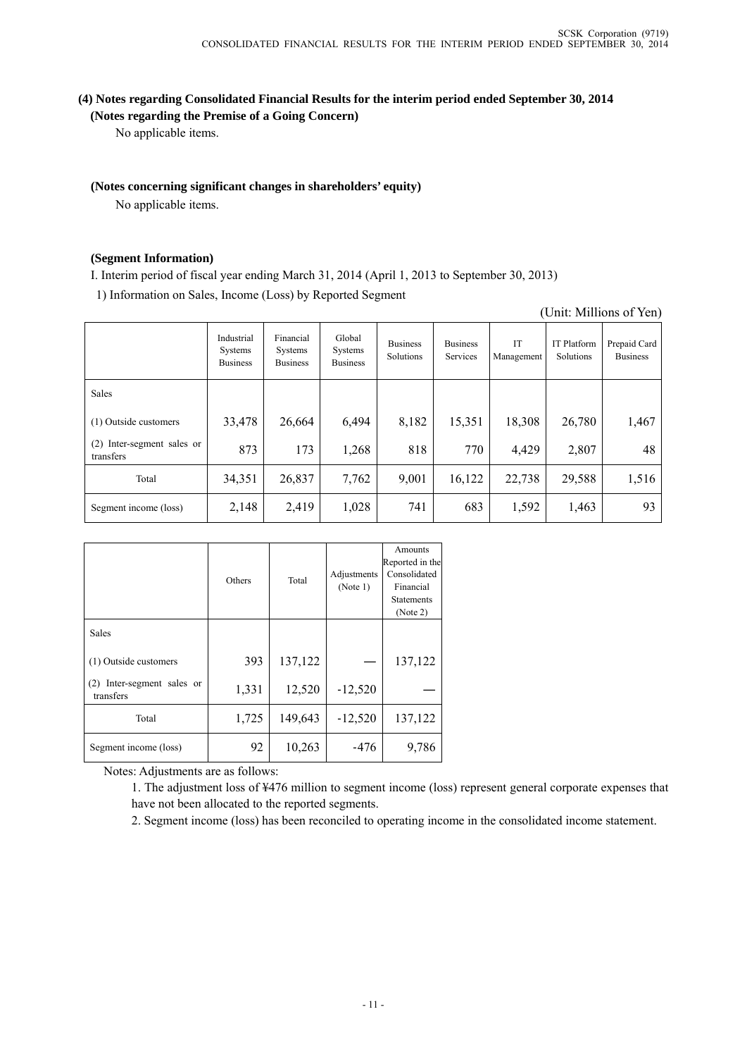### **(4) Notes regarding Consolidated Financial Results for the interim period ended September 30, 2014 (Notes regarding the Premise of a Going Concern)**

No applicable items.

### **(Notes concerning significant changes in shareholders' equity)**

No applicable items.

### **(Segment Information)**

I. Interim period of fiscal year ending March 31, 2014 (April 1, 2013 to September 30, 2013)

1) Information on Sales, Income (Loss) by Reported Segment

| (Unit: Millions of Yen) |
|-------------------------|
|                         |

|                                            | Industrial<br>Systems<br><b>Business</b> | Financial<br>Systems<br><b>Business</b> | Global<br>Systems<br><b>Business</b> | <b>Business</b><br>Solutions | <b>Business</b><br>Services | IT<br>Management | <b>IT Platform</b><br>Solutions | Prepaid Card<br><b>Business</b> |
|--------------------------------------------|------------------------------------------|-----------------------------------------|--------------------------------------|------------------------------|-----------------------------|------------------|---------------------------------|---------------------------------|
| Sales                                      |                                          |                                         |                                      |                              |                             |                  |                                 |                                 |
| (1) Outside customers                      | 33,478                                   | 26,664                                  | 6,494                                | 8,182                        | 15,351                      | 18,308           | 26,780                          | 1,467                           |
| Inter-segment sales or<br>(2)<br>transfers | 873                                      | 173                                     | 1,268                                | 818                          | 770                         | 4,429            | 2,807                           | 48                              |
| Total                                      | 34,351                                   | 26,837                                  | 7,762                                | 9,001                        | 16,122                      | 22,738           | 29,588                          | 1,516                           |
| Segment income (loss)                      | 2,148                                    | 2,419                                   | 1,028                                | 741                          | 683                         | 1,592            | 1,463                           | 93                              |

|                                            | Others | Total   | Adjustments<br>(Note 1) | Amounts<br>Reported in the<br>Consolidated<br>Financial<br><b>Statements</b><br>(Note 2) |
|--------------------------------------------|--------|---------|-------------------------|------------------------------------------------------------------------------------------|
| Sales                                      |        |         |                         |                                                                                          |
| (1) Outside customers                      | 393    | 137,122 |                         | 137,122                                                                                  |
| Inter-segment sales or<br>(2)<br>transfers | 1,331  | 12,520  | $-12,520$               |                                                                                          |
| Total                                      | 1,725  | 149,643 | $-12,520$               | 137,122                                                                                  |
| Segment income (loss)                      | 92     | 10,263  | $-476$                  | 9,786                                                                                    |

Notes: Adjustments are as follows:

1. The adjustment loss of ¥476 million to segment income (loss) represent general corporate expenses that have not been allocated to the reported segments.

2. Segment income (loss) has been reconciled to operating income in the consolidated income statement.